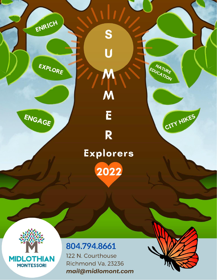

ENRICH

EXPLORE

# R Explorers 2022

S

U

M

M

E



## 804.794.8661

122 N. Courthouse Richmond Va, 23236 mail@midlomont.com



NATURE EDUCATION

CITY HIKES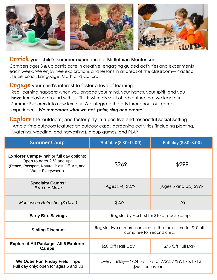

#### *Enrich* your child's summer experience at Midlothian Montessori!

Campers ages 3 & up participate in creative, engaging guided activities and experiments each week. We enjoy free explorations and lessons in all areas of the classroom—Practical Life,Sensorial, Language, Math and Cultural.

#### *Engage* your child's interest to foster a love of learning...

Real learning happens when you engage your mind, your hands, your spirit, and you **have fun** playing around with stuff! It is with this spirit of adventure that we lead our Summer Explorers into new territory. We integrate the arts throughout our camp experiences. *We remember what we act, paint, sing and create!*

#### **Explore** the outdoors, and foster play in a positive and respectful social setting...

Ample time outdoors features an outdoor easel, gardening activities (including planting, watering, weeding, and harvesting), group games, and PLAY!

| <b>Summer Camp</b>                                                                                                                                             | Half day (8:30-12:00)                                                                    | Full day (8:30-3:00)  |
|----------------------------------------------------------------------------------------------------------------------------------------------------------------|------------------------------------------------------------------------------------------|-----------------------|
| <b>Explorer Camps-</b> half or full day options;<br>Open to ages $2 \frac{1}{2}$ and up:<br>(Peace, Passport, Nature, Blast Off, Art, and<br>Water Everywhere) | \$269                                                                                    | \$299                 |
| <b>Specialty Camps:</b><br>It's Your Move                                                                                                                      | (Ages 3-4) \$279                                                                         | (Ages 5 and up) \$299 |
| Montessori Refresher (3 Days)                                                                                                                                  | \$229                                                                                    | n/a                   |
| <b>Early Bird Savings</b>                                                                                                                                      | Register by April 1st for \$10 offeach camp.                                             |                       |
| <b>Sibling Discount</b>                                                                                                                                        | Register two or more campers at the same time for \$10 off<br>camp fee for second child. |                       |
| <b>Explore it All Package: All 6 Explorer</b><br>Camps                                                                                                         | \$50 Off Half Day                                                                        | \$75 Off Full Day     |
| We Outie Fun Friday Field Trips<br>Full day only; open for ages 5 and up                                                                                       | Every Friday-6/24, 7/1, 7/15, 7/22, 7/29, 8/5, 8/12<br>\$65 per session.                 |                       |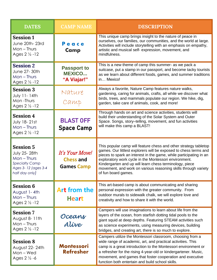| <b>DATES</b>                                                                                                               | <b>CAMP NAME</b>                                         | <b>DESCRIPTION</b>                                                                                                                                                                                                                                                                                                                                                                                                      |  |
|----------------------------------------------------------------------------------------------------------------------------|----------------------------------------------------------|-------------------------------------------------------------------------------------------------------------------------------------------------------------------------------------------------------------------------------------------------------------------------------------------------------------------------------------------------------------------------------------------------------------------------|--|
| <b>Session 1</b><br>June 20th-23rd<br>$Mon$ – Thurs<br>Ages $2 \frac{1}{2} - 12$                                           | Peace<br><b>Camp</b>                                     | This unique camp brings insight to the nature of peace in<br>ourselves, our families, our communities, and the world at large.<br>Activities will include storytelling with an emphasis on empathy,<br>artistic and musical self- expression, movement, and<br>mindfulness.                                                                                                                                             |  |
| <b>Session 2</b><br>June 27-30th<br>$Mon$ – Thurs<br>Ages $2 \frac{1}{2} - 12$                                             | <b>Passport to</b><br><b>MEXICO</b><br>"A Viajar!"       | This is a new theme of camp this summer- as we pack a<br>suitcase, put a stamp in our passport, and become tacky tourists<br>as we learn about different foods, games, and summer traditions<br>in Mexico!                                                                                                                                                                                                              |  |
| <b>Session 3</b><br>July 11-14th<br>Mon-Thurs<br>Ages $2 \frac{1}{2} - 12$                                                 | Nature<br>Camp                                           | Always a favorite, Nature Camp features nature walks,<br>gardening, caring for animals, crafts, all while we discover what<br>birds, trees, and mammals populate our region. We hike, dig,<br>garden, take care of animals, cook, and more!                                                                                                                                                                             |  |
| <b>Session 4</b><br><b>July 18-21st</b><br>$Mon$ – Thurs<br>Ages $2 \frac{1}{2} - 12$                                      | <b>BLAST OFF</b><br><b>Space Camp</b>                    | Through hands on art and science activities, students will<br>build their understanding of the Solar System and Outer<br>Space. Songs, story-telling, movement, and fun activities<br>will make this camp a BLAST!                                                                                                                                                                                                      |  |
| <b>Session 5</b><br><b>July 25-28th</b><br>$Mon$ – Thurs<br><b>Specialty Camp</b><br>Ages 3-12 (ages 3-4<br>half day only) | It's Your Move!<br><b>Chess and</b><br><b>Games Camp</b> | This popular camp will feature chess and other strategy tabletop<br>games. Our littlest explorers will be exposed to chess terms and<br>pieces to spark an interest in the game, while participating in an<br>exploratory work cycle in the Montessori environment.<br>Kindergarten and up will learn chess terminology, piece<br>movement, and work on various reasoning skills through variety<br>of fun board games. |  |
| <b>Session 6</b><br>August 1-4th<br>$Mon$ – Thurs<br>Ages 2 1/2 - 12                                                       | <b>Art from the</b><br><b>Heart</b>                      | This art-based camp is about communicating and sharing<br>personal expression with the greater community. From<br>outdoor murals to sidewalk chalk, we will explore love and<br>creativity and how to share it with the world.                                                                                                                                                                                          |  |
| <b>Session 7</b><br>August 8-11th<br>$Mon$ – Thurs<br>Ages $2\frac{1}{2}$ -12                                              | Oceans<br>Alíve                                          | Campers will use imaginations to learn about life from the<br>layers of the ocean, from starfish dotting tidal pools to the<br>giant squid at deep depths. Featuring STEAM activities such<br>as science experiments, using measuring devices, building<br>bridges, and creating art, there is so much to explore.                                                                                                      |  |
| <b>Session 8</b><br>August 22-24th<br>Mon-Wed<br>Ages $2\frac{1}{2}$ -6                                                    | <b>Montessori</b><br><b>Refresher</b>                    | Campers utilize the Montessori classroom, choosing from a<br>wide range of academic, art, and practical activities. This<br>camp is a great introduction to the Montessori environment or<br>a refresher for the rising 4-year-old or kindergartener. Music,<br>movement, and games that foster cooperation and executive<br>function both entertain and build school skills.                                           |  |